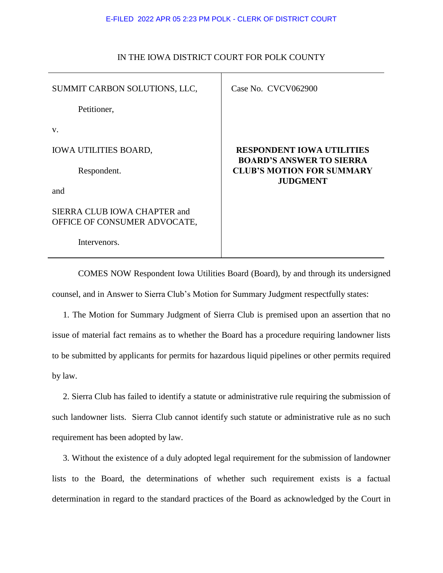### E-FILED 2022 APR 05 2:23 PM POLK - CLERK OF DISTRICT COURT

| SUMMIT CARBON SOLUTIONS, LLC,                                | Case No. CVCV062900                                                 |
|--------------------------------------------------------------|---------------------------------------------------------------------|
| Petitioner,                                                  |                                                                     |
| V.                                                           |                                                                     |
| <b>IOWA UTILITIES BOARD,</b>                                 | <b>RESPONDENT IOWA UTILITIES</b><br><b>BOARD'S ANSWER TO SIERRA</b> |
| Respondent.                                                  | <b>CLUB'S MOTION FOR SUMMARY</b><br><b>JUDGMENT</b>                 |
| and                                                          |                                                                     |
| SIERRA CLUB IOWA CHAPTER and<br>OFFICE OF CONSUMER ADVOCATE, |                                                                     |
| Intervenors.                                                 |                                                                     |

# IN THE IOWA DISTRICT COURT FOR POLK COUNTY

COMES NOW Respondent Iowa Utilities Board (Board), by and through its undersigned counsel, and in Answer to Sierra Club's Motion for Summary Judgment respectfully states:

 1. The Motion for Summary Judgment of Sierra Club is premised upon an assertion that no issue of material fact remains as to whether the Board has a procedure requiring landowner lists to be submitted by applicants for permits for hazardous liquid pipelines or other permits required by law.

 2. Sierra Club has failed to identify a statute or administrative rule requiring the submission of such landowner lists. Sierra Club cannot identify such statute or administrative rule as no such requirement has been adopted by law.

 3. Without the existence of a duly adopted legal requirement for the submission of landowner lists to the Board, the determinations of whether such requirement exists is a factual determination in regard to the standard practices of the Board as acknowledged by the Court in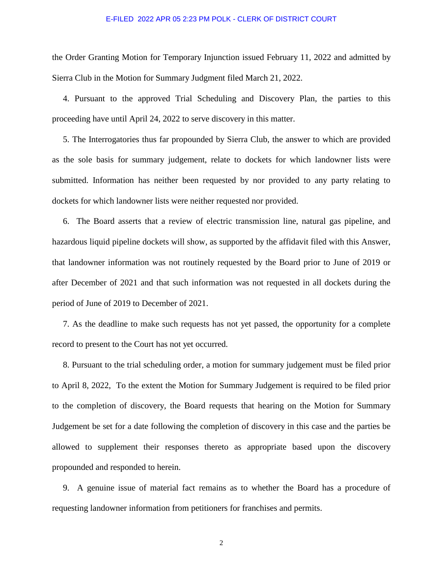### E-FILED 2022 APR 05 2:23 PM POLK - CLERK OF DISTRICT COURT

the Order Granting Motion for Temporary Injunction issued February 11, 2022 and admitted by Sierra Club in the Motion for Summary Judgment filed March 21, 2022.

 4. Pursuant to the approved Trial Scheduling and Discovery Plan, the parties to this proceeding have until April 24, 2022 to serve discovery in this matter.

 5. The Interrogatories thus far propounded by Sierra Club, the answer to which are provided as the sole basis for summary judgement, relate to dockets for which landowner lists were submitted. Information has neither been requested by nor provided to any party relating to dockets for which landowner lists were neither requested nor provided.

 6. The Board asserts that a review of electric transmission line, natural gas pipeline, and hazardous liquid pipeline dockets will show, as supported by the affidavit filed with this Answer, that landowner information was not routinely requested by the Board prior to June of 2019 or after December of 2021 and that such information was not requested in all dockets during the period of June of 2019 to December of 2021.

 7. As the deadline to make such requests has not yet passed, the opportunity for a complete record to present to the Court has not yet occurred.

 8. Pursuant to the trial scheduling order, a motion for summary judgement must be filed prior to April 8, 2022, To the extent the Motion for Summary Judgement is required to be filed prior to the completion of discovery, the Board requests that hearing on the Motion for Summary Judgement be set for a date following the completion of discovery in this case and the parties be allowed to supplement their responses thereto as appropriate based upon the discovery propounded and responded to herein.

 9. A genuine issue of material fact remains as to whether the Board has a procedure of requesting landowner information from petitioners for franchises and permits.

2